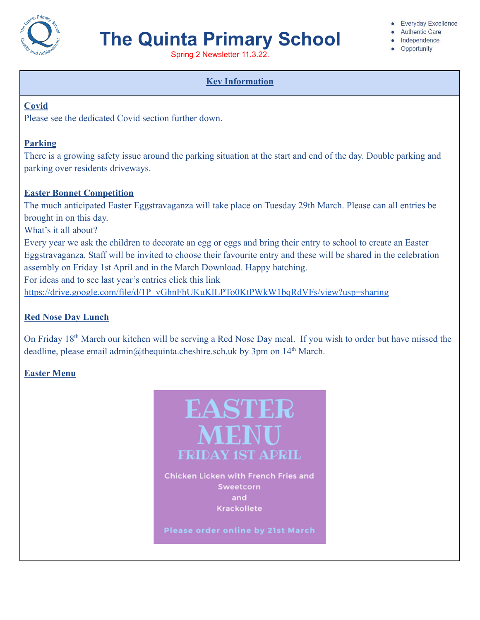

# **The Quinta Primary School**

Spring 2 Newsletter 11.3.22.

# **Key Information**

#### **Covid**

Please see the dedicated Covid section further down.

# **Parking**

There is a growing safety issue around the parking situation at the start and end of the day. Double parking and parking over residents driveways.

# **Easter Bonnet Competition**

The much anticipated Easter Eggstravaganza will take place on Tuesday 29th March. Please can all entries be brought in on this day.

What's it all about?

Every year we ask the children to decorate an egg or eggs and bring their entry to school to create an Easter Eggstravaganza. Staff will be invited to choose their favourite entry and these will be shared in the celebration assembly on Friday 1st April and in the March Download. Happy hatching.

For ideas and to see last year's entries click this link

[https://drive.google.com/file/d/1P\\_vGhnFhUKuKlLPTo0KtPWkW1bqRdVFs/view?usp=sharing](https://drive.google.com/file/d/1P_vGhnFhUKuKlLPTo0KtPWkW1bqRdVFs/view?usp=sharing)

# **Red Nose Day Lunch**

On Friday 18th March our kitchen will be serving a Red Nose Day meal. If you wish to order but have missed the deadline, please email admin@thequinta.cheshire.sch.uk by 3pm on  $14<sup>th</sup>$  March.

# **Easter Menu**



#### **Everyday Excellence**

- Authentic Care
- · Independence
- Opportunity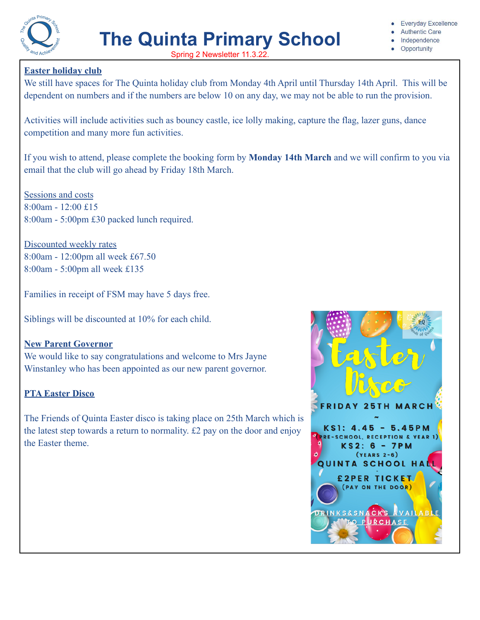

- **Authentic Care**
- Independence
- Opportunity

### **Easter holiday club**

We still have spaces for The Quinta holiday club from Monday 4th April until Thursday 14th April. This will be dependent on numbers and if the numbers are below 10 on any day, we may not be able to run the provision.

Activities will include activities such as bouncy castle, ice lolly making, capture the flag, lazer guns, dance competition and many more fun activities.

If you wish to attend, please complete the booking form by **Monday 14th March** and we will confirm to you via email that the club will go ahead by Friday 18th March.

Sessions and costs 8:00am - 12:00 £15 8:00am - 5:00pm £30 packed lunch required.

Discounted weekly rates 8:00am - 12:00pm all week £67.50 8:00am - 5:00pm all week £135

Families in receipt of FSM may have 5 days free.

Siblings will be discounted at 10% for each child.

#### **New Parent Governor**

We would like to say congratulations and welcome to Mrs Jayne Winstanley who has been appointed as our new parent governor.

#### **PTA Easter Disco**

The Friends of Quinta Easter disco is taking place on 25th March which is the latest step towards a return to normality. £2 pay on the door and enjoy the Easter theme.

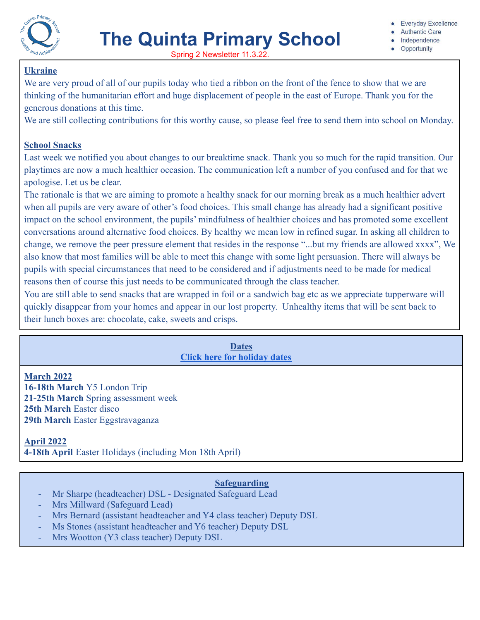

- **Authentic Care**
- · Independence
- Opportunity

### **Ukraine**

We are very proud of all of our pupils today who tied a ribbon on the front of the fence to show that we are thinking of the humanitarian effort and huge displacement of people in the east of Europe. Thank you for the generous donations at this time.

We are still collecting contributions for this worthy cause, so please feel free to send them into school on Monday.

#### **School Snacks**

Last week we notified you about changes to our breaktime snack. Thank you so much for the rapid transition. Our playtimes are now a much healthier occasion. The communication left a number of you confused and for that we apologise. Let us be clear.

The rationale is that we are aiming to promote a healthy snack for our morning break as a much healthier advert when all pupils are very aware of other's food choices. This small change has already had a significant positive impact on the school environment, the pupils' mindfulness of healthier choices and has promoted some excellent conversations around alternative food choices. By healthy we mean low in refined sugar. In asking all children to change, we remove the peer pressure element that resides in the response "...but my friends are allowed xxxx", We also know that most families will be able to meet this change with some light persuasion. There will always be pupils with special circumstances that need to be considered and if adjustments need to be made for medical reasons then of course this just needs to be communicated through the class teacher.

You are still able to send snacks that are wrapped in foil or a sandwich bag etc as we appreciate tupperware will quickly disappear from your homes and appear in our lost property. Unhealthy items that will be sent back to their lunch boxes are: chocolate, cake, sweets and crisps.

# **Dates [Click here for holiday dates](http://www.thequinta.cheshire.sch.uk/serve_file/2308637)**

**March 2022 16-18th March** Y5 London Trip **21-25th March** Spring assessment week **25th March** Easter disco **29th March** Easter Eggstravaganza

**April 2022 4-18th April** Easter Holidays (including Mon 18th April)

# **Safeguarding**

- Mr Sharpe (headteacher) DSL Designated Safeguard Lead
- Mrs Millward (Safeguard Lead)
- Mrs Bernard (assistant headteacher and Y4 class teacher) Deputy DSL
- Ms Stones (assistant headteacher and Y6 teacher) Deputy DSL
- Mrs Wootton (Y3 class teacher) Deputy DSL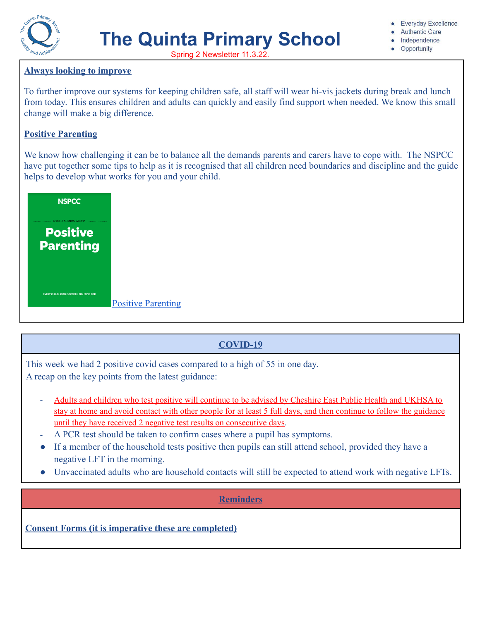

# **The Quinta Primary School**

- **Authentic Care**
- Independence
- Opportunity

Spring 2 Newsletter 11.3.22.

#### **Always looking to improve**

To further improve our systems for keeping children safe, all staff will wear hi-vis jackets during break and lunch from today. This ensures children and adults can quickly and easily find support when needed. We know this small change will make a big difference.

### **Positive Parenting**

We know how challenging it can be to balance all the demands parents and carers have to cope with. The NSPCC have put together some tips to help as it is recognised that all children need boundaries and discipline and the guide helps to develop what works for you and your child.



# **COVID-19**

This week we had 2 positive covid cases compared to a high of 55 in one day. A recap on the key points from the latest guidance:

- Adults and children who test positive will continue to be advised by Cheshire East Public Health and UKHSA to stay at home and avoid contact with other people for at least 5 full days, and then continue to follow the guidance until they have received 2 negative test results on consecutive days.
- A PCR test should be taken to confirm cases where a pupil has symptoms.
- If a member of the household tests positive then pupils can still attend school, provided they have a negative LFT in the morning.
- Unvaccinated adults who are household contacts will still be expected to attend work with negative LFTs.

#### **Reminders**

**Consent Forms (it is imperative these are completed)**